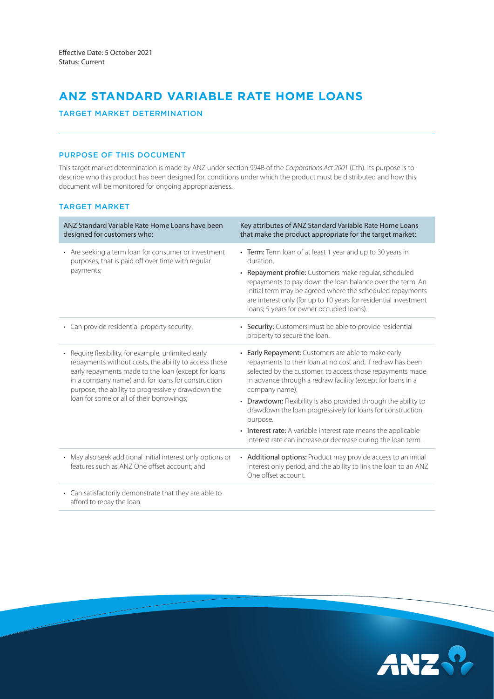# **ANZ STANDARD VARIABLE RATE HOME LOANS**

# TARGET MARKET DETERMINATION

# PURPOSE OF THIS DOCUMENT

This target market determination is made by ANZ under section 994B of the *Corporations Act 2001* (Cth). Its purpose is to describe who this product has been designed for, conditions under which the product must be distributed and how this document will be monitored for ongoing appropriateness.

# TARGET MARKET

| ANZ Standard Variable Rate Home Loans have been<br>designed for customers who:                                                                                                                                                                                                                                               | Key attributes of ANZ Standard Variable Rate Home Loans<br>that make the product appropriate for the target market:                                                                                                                                                                                                                                                                                                                                                                                                                             |
|------------------------------------------------------------------------------------------------------------------------------------------------------------------------------------------------------------------------------------------------------------------------------------------------------------------------------|-------------------------------------------------------------------------------------------------------------------------------------------------------------------------------------------------------------------------------------------------------------------------------------------------------------------------------------------------------------------------------------------------------------------------------------------------------------------------------------------------------------------------------------------------|
| • Are seeking a term loan for consumer or investment<br>purposes, that is paid off over time with regular<br>payments;                                                                                                                                                                                                       | • Term: Term loan of at least 1 year and up to 30 years in<br>duration.<br>• Repayment profile: Customers make regular, scheduled<br>repayments to pay down the loan balance over the term. An<br>initial term may be agreed where the scheduled repayments<br>are interest only (for up to 10 years for residential investment<br>loans; 5 years for owner occupied loans).                                                                                                                                                                    |
| • Can provide residential property security;                                                                                                                                                                                                                                                                                 | • Security: Customers must be able to provide residential<br>property to secure the loan.                                                                                                                                                                                                                                                                                                                                                                                                                                                       |
| • Require flexibility, for example, unlimited early<br>repayments without costs, the ability to access those<br>early repayments made to the loan (except for loans<br>in a company name) and, for loans for construction<br>purpose, the ability to progressively drawdown the<br>loan for some or all of their borrowings; | • Early Repayment: Customers are able to make early<br>repayments to their loan at no cost and, if redraw has been<br>selected by the customer, to access those repayments made<br>in advance through a redraw facility (except for loans in a<br>company name).<br>• Drawdown: Flexibility is also provided through the ability to<br>drawdown the loan progressively for loans for construction<br>purpose.<br>• Interest rate: A variable interest rate means the applicable<br>interest rate can increase or decrease during the loan term. |
| • May also seek additional initial interest only options or<br>features such as ANZ One offset account; and                                                                                                                                                                                                                  | • Additional options: Product may provide access to an initial<br>interest only period, and the ability to link the loan to an ANZ<br>One offset account.                                                                                                                                                                                                                                                                                                                                                                                       |
| Can catiofacta dividenda protecto that thay used abla to                                                                                                                                                                                                                                                                     |                                                                                                                                                                                                                                                                                                                                                                                                                                                                                                                                                 |

• Can satisfactorily demonstrate that they are able to afford to repay the loan.

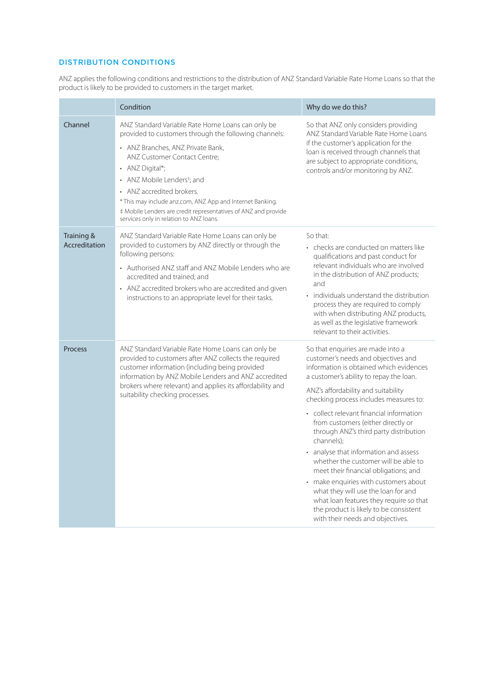# DISTRIBUTION CONDITIONS

ANZ applies the following conditions and restrictions to the distribution of ANZ Standard Variable Rate Home Loans so that the product is likely to be provided to customers in the target market.

|                             | Condition                                                                                                                                                                                                                                                                                                                                                                                                                                            | Why do we do this?                                                                                                                                                                                                                                                                                                                                                                                                                                                                                                                                                                                                                                                                                                           |
|-----------------------------|------------------------------------------------------------------------------------------------------------------------------------------------------------------------------------------------------------------------------------------------------------------------------------------------------------------------------------------------------------------------------------------------------------------------------------------------------|------------------------------------------------------------------------------------------------------------------------------------------------------------------------------------------------------------------------------------------------------------------------------------------------------------------------------------------------------------------------------------------------------------------------------------------------------------------------------------------------------------------------------------------------------------------------------------------------------------------------------------------------------------------------------------------------------------------------------|
| Channel                     | ANZ Standard Variable Rate Home Loans can only be<br>provided to customers through the following channels:<br>• ANZ Branches, ANZ Private Bank,<br>ANZ Customer Contact Centre;<br>• ANZ Digital*;<br>• ANZ Mobile Lenders <sup>‡</sup> ; and<br>• ANZ accredited brokers.<br>* This may include anz.com, ANZ App and Internet Banking.<br># Mobile Lenders are credit representatives of ANZ and provide<br>services only in relation to ANZ loans. | So that ANZ only considers providing<br>ANZ Standard Variable Rate Home Loans<br>if the customer's application for the<br>loan is received through channels that<br>are subject to appropriate conditions,<br>controls and/or monitoring by ANZ.                                                                                                                                                                                                                                                                                                                                                                                                                                                                             |
| Training &<br>Accreditation | ANZ Standard Variable Rate Home Loans can only be<br>provided to customers by ANZ directly or through the<br>following persons:<br>• Authorised ANZ staff and ANZ Mobile Lenders who are<br>accredited and trained; and<br>• ANZ accredited brokers who are accredited and given<br>instructions to an appropriate level for their tasks.                                                                                                            | So that:<br>• checks are conducted on matters like<br>qualifications and past conduct for<br>relevant individuals who are involved<br>in the distribution of ANZ products;<br>and<br>individuals understand the distribution<br>process they are required to comply<br>with when distributing ANZ products,<br>as well as the legislative framework<br>relevant to their activities.                                                                                                                                                                                                                                                                                                                                         |
| <b>Process</b>              | ANZ Standard Variable Rate Home Loans can only be<br>provided to customers after ANZ collects the required<br>customer information (including being provided<br>information by ANZ Mobile Lenders and ANZ accredited<br>brokers where relevant) and applies its affordability and<br>suitability checking processes.                                                                                                                                 | So that enquiries are made into a<br>customer's needs and objectives and<br>information is obtained which evidences<br>a customer's ability to repay the loan.<br>ANZ's affordability and suitability<br>checking process includes measures to:<br>• collect relevant financial information<br>from customers (either directly or<br>through ANZ's third party distribution<br>channels):<br>• analyse that information and assess<br>whether the customer will be able to<br>meet their financial obligations; and<br>• make enquiries with customers about<br>what they will use the loan for and<br>what loan features they require so that<br>the product is likely to be consistent<br>with their needs and objectives. |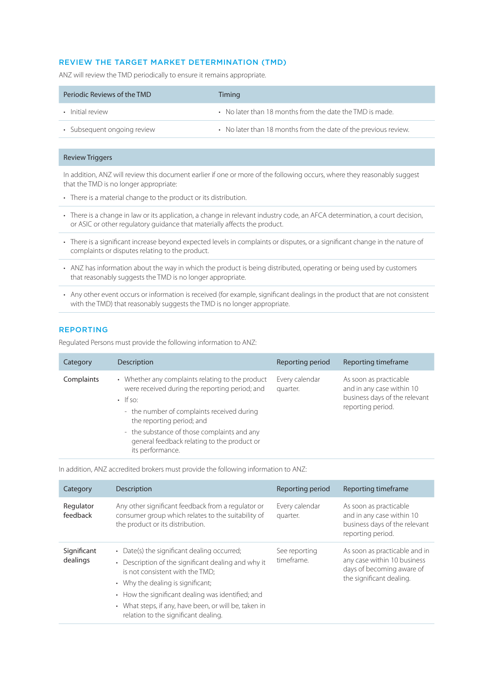# REVIEW THE TARGET MARKET DETERMINATION (TMD)

ANZ will review the TMD periodically to ensure it remains appropriate.

| Periodic Reviews of the TMD | Timing                                                          |
|-----------------------------|-----------------------------------------------------------------|
| • Initial review            | • No later than 18 months from the date the TMD is made.        |
| • Subsequent ongoing review | • No later than 18 months from the date of the previous review. |

## Review Triggers

In addition, ANZ will review this document earlier if one or more of the following occurs, where they reasonably suggest that the TMD is no longer appropriate:

- There is a material change to the product or its distribution.
- There is a change in law or its application, a change in relevant industry code, an AFCA determination, a court decision, or ASIC or other regulatory guidance that materially afects the product.
- There is a signifcant increase beyond expected levels in complaints or disputes, or a signifcant change in the nature of complaints or disputes relating to the product.
- ANZ has information about the way in which the product is being distributed, operating or being used by customers that reasonably suggests the TMD is no longer appropriate.
- Any other event occurs or information is received (for example, signifcant dealings in the product that are not consistent with the TMD) that reasonably suggests the TMD is no longer appropriate.

## REPORTING

Regulated Persons must provide the following information to ANZ:

| Category   | Description                                                                                                                                                                                                                                                                                                       | Reporting period           | Reporting timeframe                                                                                       |
|------------|-------------------------------------------------------------------------------------------------------------------------------------------------------------------------------------------------------------------------------------------------------------------------------------------------------------------|----------------------------|-----------------------------------------------------------------------------------------------------------|
| Complaints | • Whether any complaints relating to the product<br>were received during the reporting period; and<br>$\cdot$ If so:<br>- the number of complaints received during<br>the reporting period; and<br>- the substance of those complaints and any<br>general feedback relating to the product or<br>its performance. | Every calendar<br>quarter. | As soon as practicable<br>and in any case within 10<br>business days of the relevant<br>reporting period. |

In addition, ANZ accredited brokers must provide the following information to ANZ:

| Category                | Description                                                                                                                                                                                                                                                                                                                                 | Reporting period            | Reporting timeframe                                                                                                   |
|-------------------------|---------------------------------------------------------------------------------------------------------------------------------------------------------------------------------------------------------------------------------------------------------------------------------------------------------------------------------------------|-----------------------------|-----------------------------------------------------------------------------------------------------------------------|
| Regulator<br>feedback   | Any other significant feedback from a regulator or<br>consumer group which relates to the suitability of<br>the product or its distribution.                                                                                                                                                                                                | Every calendar<br>quarter.  | As soon as practicable<br>and in any case within 10<br>business days of the relevant<br>reporting period.             |
| Significant<br>dealings | • Date(s) the significant dealing occurred;<br>Description of the significant dealing and why it<br>$\bullet$<br>is not consistent with the TMD:<br>• Why the dealing is significant;<br>• How the significant dealing was identified; and<br>• What steps, if any, have been, or will be, taken in<br>relation to the significant dealing. | See reporting<br>timeframe. | As soon as practicable and in<br>any case within 10 business<br>days of becoming aware of<br>the significant dealing. |